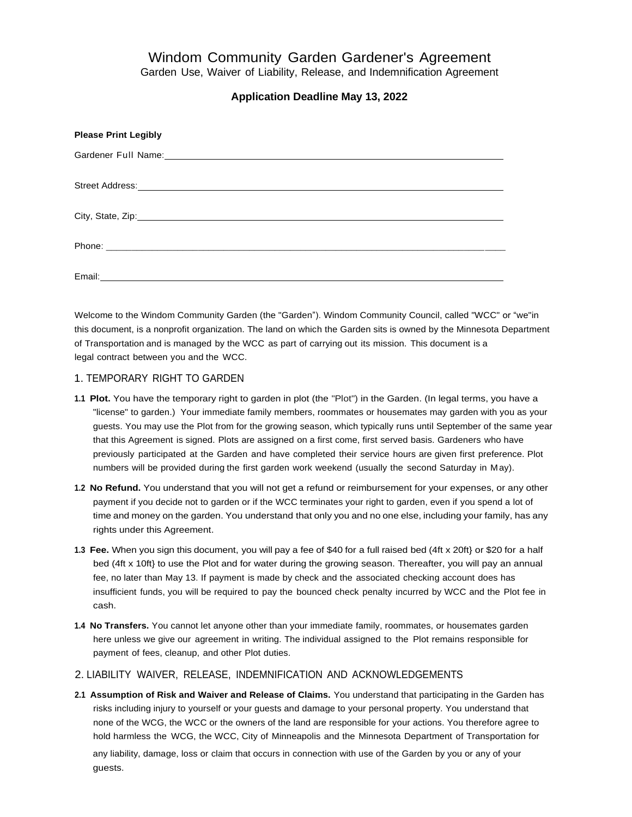# Windom Community Garden Gardener's Agreement

Garden Use, Waiver of Liability, Release, and Indemnification Agreement

## **Application Deadline May 13, 2022**

| <b>Please Print Legibly</b>                                                                                                                                                                                                          |
|--------------------------------------------------------------------------------------------------------------------------------------------------------------------------------------------------------------------------------------|
| Gardener Full Name: 1999 Contract Contract Contract Contract Contract Contract Contract Contract Contract Contract Contract Contract Contract Contract Contract Contract Contract Contract Contract Contract Contract Contract       |
| Street Address: <u>Communications</u> Contract and Contract Contract Contract Contract Contract Contract Contract Contract Contract Contract Contract Contract Contract Contract Contract Contract Contract Contract Contract Contr  |
|                                                                                                                                                                                                                                      |
|                                                                                                                                                                                                                                      |
| Email: <b>Exercise Contract Contract Contract Contract Contract Contract Contract Contract Contract Contract Contract Contract Contract Contract Contract Contract Contract Contract Contract Contract Contract Contract Contrac</b> |

Welcome to the Windom Community Garden (the "Garden"). Windom Community Council, called "WCC" or "we"in this document, is a nonprofit organization. The land on which the Garden sits is owned by the Minnesota Department of Transportation and is managed by the WCC as part of carrying out its mission. This document is a legal contract between you and the WCC.

### 1. TEMPORARY RIGHT TO GARDEN

guests.

- **1.1 Plot.** You have the temporary right to garden in plot (the "Plot") in the Garden. (In legal terms, you have a "license" to garden.) Your immediate family members, roommates or housemates may garden with you as your guests. You may use the Plot from for the growing season, which typically runs until September of the same year that this Agreement is signed. Plots are assigned on a first come, first served basis. Gardeners who have previously participated at the Garden and have completed their service hours are given first preference. Plot numbers will be provided during the first garden work weekend (usually the second Saturday in May).
- **1.2 No Refund.** You understand that you will not get a refund or reimbursement for your expenses, or any other payment if you decide not to garden or if the WCC terminates your right to garden, even if you spend a lot of time and money on the garden. You understand that only you and no one else, including your family, has any rights under this Agreement.
- **1.3 Fee.** When you sign this document, you will pay a fee of \$40 for a full raised bed (4ft x 20ft} or \$20 for a half bed (4ft x 10ft} to use the Plot and for water during the growing season. Thereafter, you will pay an annual fee, no later than May 13. If payment is made by check and the associated checking account does has insufficient funds, you will be required to pay the bounced check penalty incurred by WCC and the Plot fee in cash.
- **1.4 No Transfers.** You cannot let anyone other than your immediate family, roommates, or housemates garden here unless we give our agreement in writing. The individual assigned to the Plot remains responsible for payment of fees, cleanup, and other Plot duties.

## 2. LIABILITY WAIVER, RELEASE, INDEMNIFICATION AND ACKNOWLEDGEMENTS

**2.1 Assumption of Risk and Waiver and Release of Claims.** You understand that participating in the Garden has risks including injury to yourself or your guests and damage to your personal property. You understand that none of the WCG, the WCC or the owners of the land are responsible for your actions. You therefore agree to hold harmless the WCG, the WCC, City of Minneapolis and the Minnesota Department of Transportation for any liability, damage, loss or claim that occurs in connection with use of the Garden by you or any of your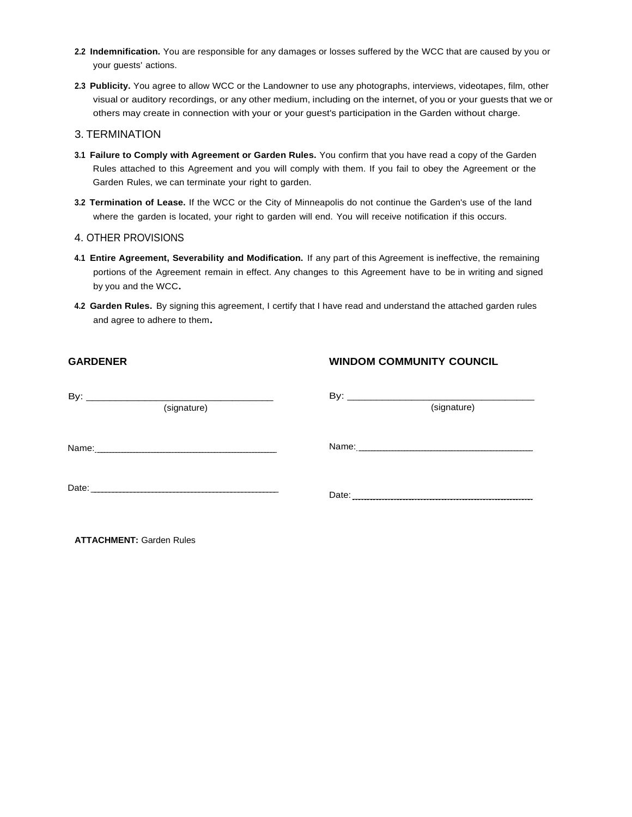- **2.2 Indemnification.** You are responsible for any damages or losses suffered by the WCC that are caused by you or your guests' actions.
- **2.3 Publicity.** You agree to allow WCC or the Landowner to use any photographs, interviews, videotapes, film, other visual or auditory recordings, or any other medium, including on the internet, of you or your guests that we or others may create in connection with your or your guest's participation in the Garden without charge.

#### 3. TERMINATION

- **3.1 Failure to Comply with Agreement or Garden Rules.** You confirm that you have read a copy of the Garden Rules attached to this Agreement and you will comply with them. If you fail to obey the Agreement or the Garden Rules, we can terminate your right to garden.
- **3.2 Termination of Lease.** If the WCC or the City of Minneapolis do not continue the Garden's use of the land where the garden is located, your right to garden will end. You will receive notification if this occurs.

#### 4. OTHER PROVISIONS

- **4.1 Entire Agreement, Severability and Modification.** If any part of this Agreement is ineffective, the remaining portions of the Agreement remain in effect. Any changes to this Agreement have to be in writing and signed by you and the WCC.
- **4.2 Garden Rules.** By signing this agreement, I certify that I have read and understand the attached garden rules and agree to adhere to them.

#### **GARDENER**

#### **WINDOM COMMUNITY COUNCIL**

| (signature) | (signature) |
|-------------|-------------|
|             |             |
|             |             |
|             |             |

**ATTACHMENT:** Garden Rules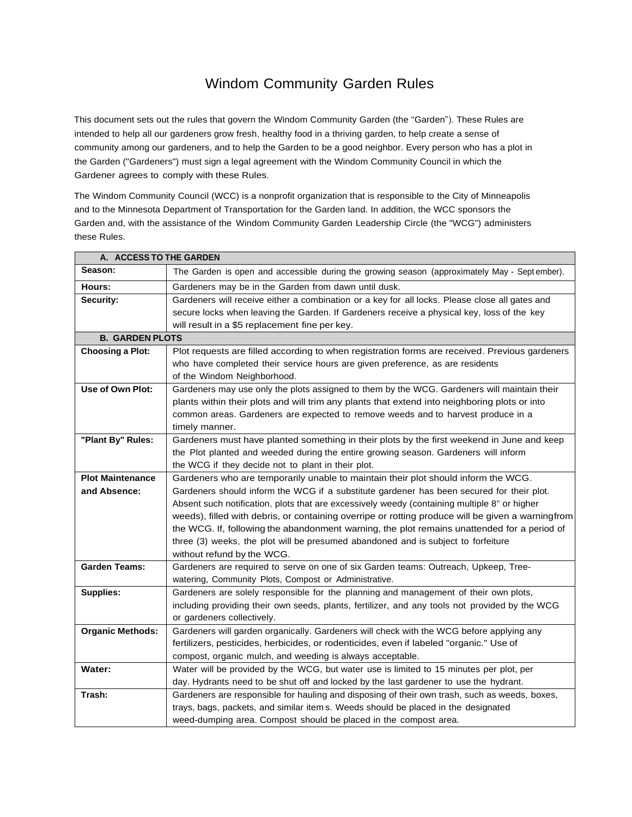## Windom Community Garden Rules

This document sets out the rules that govern the Windom Community Garden (the "Garden"). These Rules are intended to help all our gardeners grow fresh, healthy food in a thriving garden, to help create a sense of community among our gardeners, and to help the Garden to be a good neighbor. Every person who has a plot in the Garden ("Gardeners") must sign a legal agreement with the Windom Community Council in which the Gardener agrees to comply with these Rules.

The Windom Community Council (WCC) is a nonprofit organization that is responsible to the City of Minneapolis and to the Minnesota Department of Transportation for the Garden land. In addition, the WCC sponsors the Garden and, with the assistance of the Windom Community Garden Leadership Circle (the "WCG") administers these Rules.

| A. ACCESS TO THE GARDEN |                                                                                                   |
|-------------------------|---------------------------------------------------------------------------------------------------|
| Season:                 | The Garden is open and accessible during the growing season (approximately May - September).      |
| Hours:                  | Gardeners may be in the Garden from dawn until dusk.                                              |
| Security:               | Gardeners will receive either a combination or a key for all locks. Please close all gates and    |
|                         | secure locks when leaving the Garden. If Gardeners receive a physical key, loss of the key        |
|                         | will result in a \$5 replacement fine per key.                                                    |
| <b>B. GARDEN PLOTS</b>  |                                                                                                   |
| <b>Choosing a Plot:</b> | Plot requests are filled according to when registration forms are received. Previous gardeners    |
|                         | who have completed their service hours are given preference, as are residents                     |
|                         | of the Windom Neighborhood.                                                                       |
| Use of Own Plot:        | Gardeners may use only the plots assigned to them by the WCG. Gardeners will maintain their       |
|                         | plants within their plots and will trim any plants that extend into neighboring plots or into     |
|                         | common areas. Gardeners are expected to remove weeds and to harvest produce in a                  |
|                         | timely manner.                                                                                    |
| "Plant By" Rules:       | Gardeners must have planted something in their plots by the first weekend in June and keep        |
|                         | the Plot planted and weeded during the entire growing season. Gardeners will inform               |
|                         | the WCG if they decide not to plant in their plot.                                                |
| <b>Plot Maintenance</b> | Gardeners who are temporarily unable to maintain their plot should inform the WCG.                |
| and Absence:            | Gardeners should inform the WCG if a substitute gardener has been secured for their plot.         |
|                         | Absent such notification, plots that are excessively weedy (containing multiple 8" or higher      |
|                         | weeds), filled with debris, or containing overripe or rotting produce will be given a warningfrom |
|                         | the WCG. If, following the abandonment warning, the plot remains unattended for a period of       |
|                         | three (3) weeks, the plot will be presumed abandoned and is subject to forfeiture                 |
|                         | without refund by the WCG.                                                                        |
| <b>Garden Teams:</b>    | Gardeners are required to serve on one of six Garden teams: Outreach, Upkeep, Tree-               |
|                         | watering, Community Plots, Compost or Administrative.                                             |
| Supplies:               | Gardeners are solely responsible for the planning and management of their own plots,              |
|                         | including providing their own seeds, plants, fertilizer, and any tools not provided by the WCG    |
|                         | or gardeners collectively.                                                                        |
| <b>Organic Methods:</b> | Gardeners will garden organically. Gardeners will check with the WCG before applying any          |
|                         | fertilizers, pesticides, herbicides, or rodenticides, even if labeled "organic." Use of           |
|                         | compost, organic mulch, and weeding is always acceptable.                                         |
| Water:                  | Water will be provided by the WCG, but water use is limited to 15 minutes per plot, per           |
|                         | day. Hydrants need to be shut off and locked by the last gardener to use the hydrant.             |
| Trash:                  | Gardeners are responsible for hauling and disposing of their own trash, such as weeds, boxes,     |
|                         | trays, bags, packets, and similar items. Weeds should be placed in the designated                 |
|                         | weed-dumping area. Compost should be placed in the compost area.                                  |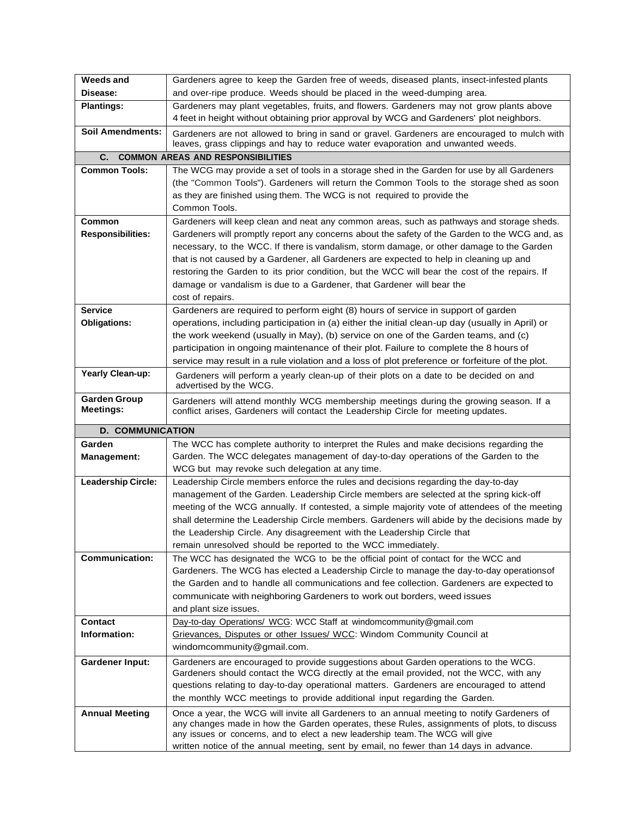| <b>Weeds and</b>                        | Gardeners agree to keep the Garden free of weeds, diseased plants, insect-infested plants                                                                                                |
|-----------------------------------------|------------------------------------------------------------------------------------------------------------------------------------------------------------------------------------------|
| Disease:                                | and over-ripe produce. Weeds should be placed in the weed-dumping area.                                                                                                                  |
| <b>Plantings:</b>                       | Gardeners may plant vegetables, fruits, and flowers. Gardeners may not grow plants above                                                                                                 |
|                                         | 4 feet in height without obtaining prior approval by WCG and Gardeners' plot neighbors.                                                                                                  |
| <b>Soil Amendments:</b>                 | Gardeners are not allowed to bring in sand or gravel. Gardeners are encouraged to mulch with                                                                                             |
|                                         | leaves, grass clippings and hay to reduce water evaporation and unwanted weeds.                                                                                                          |
| C.                                      | <b>COMMON AREAS AND RESPONSIBILITIES</b>                                                                                                                                                 |
| <b>Common Tools:</b>                    | The WCG may provide a set of tools in a storage shed in the Garden for use by all Gardeners                                                                                              |
|                                         | (the "Common Tools"). Gardeners will return the Common Tools to the storage shed as soon                                                                                                 |
|                                         | as they are finished using them. The WCG is not required to provide the                                                                                                                  |
|                                         | Common Tools.                                                                                                                                                                            |
| Common                                  | Gardeners will keep clean and neat any common areas, such as pathways and storage sheds.                                                                                                 |
| <b>Responsibilities:</b>                | Gardeners will promptly report any concerns about the safety of the Garden to the WCG and, as                                                                                            |
|                                         | necessary, to the WCC. If there is vandalism, storm damage, or other damage to the Garden                                                                                                |
|                                         | that is not caused by a Gardener, all Gardeners are expected to help in cleaning up and                                                                                                  |
|                                         | restoring the Garden to its prior condition, but the WCC will bear the cost of the repairs. If                                                                                           |
|                                         | damage or vandalism is due to a Gardener, that Gardener will bear the                                                                                                                    |
|                                         | cost of repairs.                                                                                                                                                                         |
| <b>Service</b>                          | Gardeners are required to perform eight (8) hours of service in support of garden                                                                                                        |
| <b>Obligations:</b>                     | operations, including participation in (a) either the initial clean-up day (usually in April) or                                                                                         |
|                                         | the work weekend (usually in May), (b) service on one of the Garden teams, and (c)                                                                                                       |
|                                         | participation in ongoing maintenance of their plot. Failure to complete the 8 hours of                                                                                                   |
|                                         | service may result in a rule violation and a loss of plot preference or forfeiture of the plot.                                                                                          |
| Yearly Clean-up:                        | Gardeners will perform a yearly clean-up of their plots on a date to be decided on and<br>advertised by the WCG.                                                                         |
| <b>Garden Group</b><br><b>Meetings:</b> | Gardeners will attend monthly WCG membership meetings during the growing season. If a<br>conflict arises, Gardeners will contact the Leadership Circle for meeting updates.              |
| <b>D. COMMUNICATION</b>                 |                                                                                                                                                                                          |
| Garden                                  | The WCC has complete authority to interpret the Rules and make decisions regarding the                                                                                                   |
| <b>Management:</b>                      | Garden. The WCC delegates management of day-to-day operations of the Garden to the                                                                                                       |
|                                         | WCG but may revoke such delegation at any time.                                                                                                                                          |
| Leadership Circle:                      | Leadership Circle members enforce the rules and decisions regarding the day-to-day                                                                                                       |
|                                         | management of the Garden. Leadership Circle members are selected at the spring kick-off                                                                                                  |
|                                         | meeting of the WCG annually. If contested, a simple majority vote of attendees of the meeting                                                                                            |
|                                         | shall determine the Leadership Circle members. Gardeners will abide by the decisions made by                                                                                             |
|                                         | the Leadership Circle. Any disagreement with the Leadership Circle that                                                                                                                  |
|                                         | remain unresolved should be reported to the WCC immediately.                                                                                                                             |
| <b>Communication:</b>                   | The WCC has designated the WCG to be the official point of contact for the WCC and                                                                                                       |
|                                         | Gardeners. The WCG has elected a Leadership Circle to manage the day-to-day operationsof                                                                                                 |
|                                         | the Garden and to handle all communications and fee collection. Gardeners are expected to                                                                                                |
|                                         | communicate with neighboring Gardeners to work out borders, weed issues                                                                                                                  |
|                                         | and plant size issues.                                                                                                                                                                   |
| Contact                                 | Day-to-day Operations/ WCG: WCC Staff at windomcommunity@gmail.com                                                                                                                       |
| Information:                            | Grievances, Disputes or other Issues/ WCC: Windom Community Council at                                                                                                                   |
|                                         | windomcommunity@gmail.com.                                                                                                                                                               |
| <b>Gardener Input:</b>                  | Gardeners are encouraged to provide suggestions about Garden operations to the WCG.                                                                                                      |
|                                         | Gardeners should contact the WCG directly at the email provided, not the WCC, with any<br>questions relating to day-to-day operational matters. Gardeners are encouraged to attend       |
|                                         | the monthly WCC meetings to provide additional input regarding the Garden.                                                                                                               |
|                                         |                                                                                                                                                                                          |
| <b>Annual Meeting</b>                   | Once a year, the WCG will invite all Gardeners to an annual meeting to notify Gardeners of<br>any changes made in how the Garden operates, these Rules, assignments of plots, to discuss |
|                                         | any issues or concerns, and to elect a new leadership team. The WCG will give                                                                                                            |
|                                         | written notice of the annual meeting, sent by email, no fewer than 14 days in advance.                                                                                                   |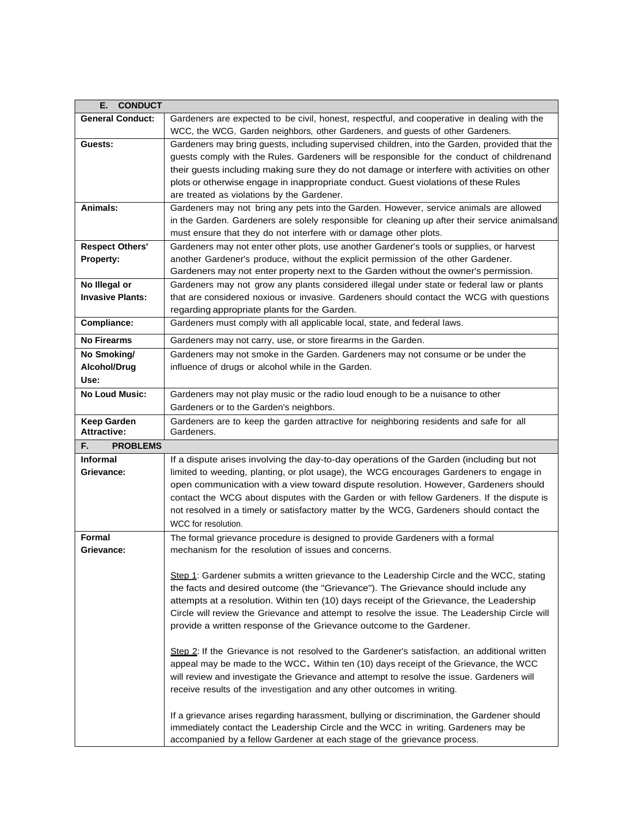| <b>CONDUCT</b><br>Е.                     |                                                                                                                                                                                   |
|------------------------------------------|-----------------------------------------------------------------------------------------------------------------------------------------------------------------------------------|
| <b>General Conduct:</b>                  | Gardeners are expected to be civil, honest, respectful, and cooperative in dealing with the                                                                                       |
|                                          | WCC, the WCG, Garden neighbors, other Gardeners, and guests of other Gardeners.                                                                                                   |
| Guests:                                  | Gardeners may bring guests, including supervised children, into the Garden, provided that the                                                                                     |
|                                          | guests comply with the Rules. Gardeners will be responsible for the conduct of childrenand                                                                                        |
|                                          | their guests including making sure they do not damage or interfere with activities on other                                                                                       |
|                                          | plots or otherwise engage in inappropriate conduct. Guest violations of these Rules                                                                                               |
|                                          | are treated as violations by the Gardener.                                                                                                                                        |
| Animals:                                 | Gardeners may not bring any pets into the Garden. However, service animals are allowed                                                                                            |
|                                          | in the Garden. Gardeners are solely responsible for cleaning up after their service animalsand                                                                                    |
|                                          | must ensure that they do not interfere with or damage other plots.                                                                                                                |
| <b>Respect Others'</b>                   | Gardeners may not enter other plots, use another Gardener's tools or supplies, or harvest                                                                                         |
| <b>Property:</b>                         | another Gardener's produce, without the explicit permission of the other Gardener.                                                                                                |
|                                          | Gardeners may not enter property next to the Garden without the owner's permission.                                                                                               |
| No Illegal or                            | Gardeners may not grow any plants considered illegal under state or federal law or plants                                                                                         |
| <b>Invasive Plants:</b>                  | that are considered noxious or invasive. Gardeners should contact the WCG with questions                                                                                          |
|                                          | regarding appropriate plants for the Garden.                                                                                                                                      |
| Compliance:                              | Gardeners must comply with all applicable local, state, and federal laws.                                                                                                         |
| <b>No Firearms</b>                       | Gardeners may not carry, use, or store firearms in the Garden.                                                                                                                    |
| No Smoking/                              | Gardeners may not smoke in the Garden. Gardeners may not consume or be under the                                                                                                  |
| Alcohol/Drug                             | influence of drugs or alcohol while in the Garden.                                                                                                                                |
| Use:                                     |                                                                                                                                                                                   |
| <b>No Loud Music:</b>                    | Gardeners may not play music or the radio loud enough to be a nuisance to other                                                                                                   |
|                                          | Gardeners or to the Garden's neighbors.                                                                                                                                           |
| <b>Keep Garden</b>                       | Gardeners are to keep the garden attractive for neighboring residents and safe for all                                                                                            |
| <b>Attractive:</b>                       | Gardeners.                                                                                                                                                                        |
| <b>PROBLEMS</b><br>F.<br><b>Informal</b> |                                                                                                                                                                                   |
|                                          | If a dispute arises involving the day-to-day operations of the Garden (including but not                                                                                          |
| Grievance:                               | limited to weeding, planting, or plot usage), the WCG encourages Gardeners to engage in                                                                                           |
|                                          | open communication with a view toward dispute resolution. However, Gardeners should<br>contact the WCG about disputes with the Garden or with fellow Gardeners. If the dispute is |
|                                          | not resolved in a timely or satisfactory matter by the WCG, Gardeners should contact the                                                                                          |
|                                          | WCC for resolution.                                                                                                                                                               |
| <b>Formal</b>                            | The formal grievance procedure is designed to provide Gardeners with a formal                                                                                                     |
| Grievance:                               | mechanism for the resolution of issues and concerns.                                                                                                                              |
|                                          |                                                                                                                                                                                   |
|                                          | Step 1: Gardener submits a written grievance to the Leadership Circle and the WCC, stating                                                                                        |
|                                          | the facts and desired outcome (the "Grievance"). The Grievance should include any                                                                                                 |
|                                          | attempts at a resolution. Within ten (10) days receipt of the Grievance, the Leadership                                                                                           |
|                                          | Circle will review the Grievance and attempt to resolve the issue. The Leadership Circle will                                                                                     |
|                                          | provide a written response of the Grievance outcome to the Gardener.                                                                                                              |
|                                          |                                                                                                                                                                                   |
|                                          | Step 2: If the Grievance is not resolved to the Gardener's satisfaction, an additional written                                                                                    |
|                                          | appeal may be made to the WCC. Within ten (10) days receipt of the Grievance, the WCC                                                                                             |
|                                          | will review and investigate the Grievance and attempt to resolve the issue. Gardeners will                                                                                        |
|                                          | receive results of the investigation and any other outcomes in writing.                                                                                                           |
|                                          |                                                                                                                                                                                   |
|                                          | If a grievance arises regarding harassment, bullying or discrimination, the Gardener should<br>immediately contact the Leadership Circle and the WCC in writing. Gardeners may be |
|                                          | accompanied by a fellow Gardener at each stage of the grievance process.                                                                                                          |